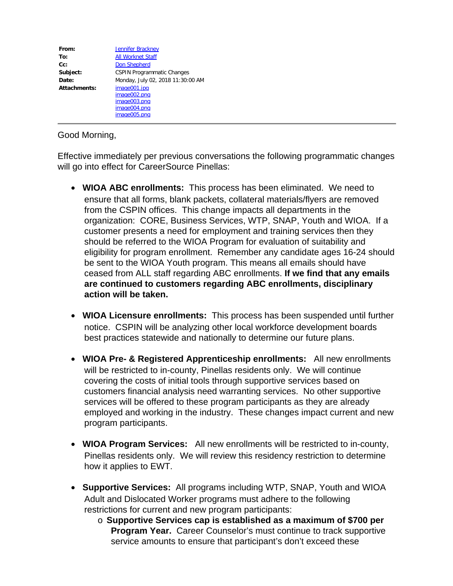| From:        | <b>Jennifer Brackney</b>                                                     |
|--------------|------------------------------------------------------------------------------|
| To:          | <b>All Worknet Staff</b>                                                     |
| $Cc$ :       | <b>Don Shepherd</b>                                                          |
| Subject:     | <b>CSPIN Programmatic Changes</b>                                            |
| Date:        | Monday, July 02, 2018 11:30:00 AM                                            |
| Attachments: | image001.jpg<br>image002.png<br>image003.png<br>image004.png<br>image005.png |

## Good Morning,

Effective immediately per previous conversations the following programmatic changes will go into effect for CareerSource Pinellas:

- · **WIOA ABC enrollments:** This process has been eliminated. We need to ensure that all forms, blank packets, collateral materials/flyers are removed from the CSPIN offices. This change impacts all departments in the organization: CORE, Business Services, WTP, SNAP, Youth and WIOA. If a customer presents a need for employment and training services then they should be referred to the WIOA Program for evaluation of suitability and eligibility for program enrollment. Remember any candidate ages 16-24 should be sent to the WIOA Youth program. This means all emails should have ceased from ALL staff regarding ABC enrollments. **If we find that any emails are continued to customers regarding ABC enrollments, disciplinary action will be taken.**
- · **WIOA Licensure enrollments:** This process has been suspended until further notice. CSPIN will be analyzing other local workforce development boards best practices statewide and nationally to determine our future plans.
- · **WIOA Pre- & Registered Apprenticeship enrollments:** All new enrollments will be restricted to in-county, Pinellas residents only. We will continue covering the costs of initial tools through supportive services based on customers financial analysis need warranting services. No other supportive services will be offered to these program participants as they are already employed and working in the industry. These changes impact current and new program participants.
- · **WIOA Program Services:** All new enrollments will be restricted to in-county, Pinellas residents only. We will review this residency restriction to determine how it applies to EWT.
- · **Supportive Services:** All programs including WTP, SNAP, Youth and WIOA Adult and Dislocated Worker programs must adhere to the following restrictions for current and new program participants:
	- o **Supportive Services cap is established as a maximum of \$700 per Program Year.** Career Counselor's must continue to track supportive service amounts to ensure that participant's don't exceed these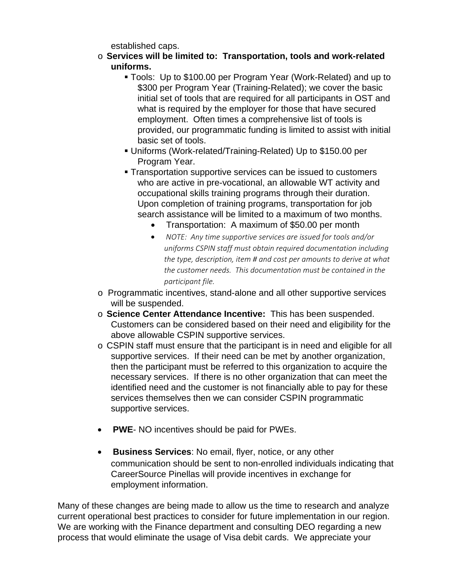established caps.

- o **Services will be limited to: Transportation, tools and work-related uniforms.**
	- § Tools: Up to \$100.00 per Program Year (Work-Related) and up to \$300 per Program Year (Training-Related); we cover the basic initial set of tools that are required for all participants in OST and what is required by the employer for those that have secured employment. Often times a comprehensive list of tools is provided, our programmatic funding is limited to assist with initial basic set of tools.
	- § Uniforms (Work-related/Training-Related) Up to \$150.00 per Program Year.
	- Transportation supportive services can be issued to customers who are active in pre-vocational, an allowable WT activity and occupational skills training programs through their duration. Upon completion of training programs, transportation for job search assistance will be limited to a maximum of two months.
		- · Transportation: A maximum of \$50.00 per month
		- · *NOTE: Any time supportive services are issued for tools and/or uniforms CSPIN staff must obtain required documentation including the type, description, item # and cost per amounts to derive at what the customer needs. This documentation must be contained in the participant file.*
- o Programmatic incentives, stand-alone and all other supportive services will be suspended.
- o **Science Center Attendance Incentive:** This has been suspended. Customers can be considered based on their need and eligibility for the above allowable CSPIN supportive services.
- o CSPIN staff must ensure that the participant is in need and eligible for all supportive services. If their need can be met by another organization, then the participant must be referred to this organization to acquire the necessary services. If there is no other organization that can meet the identified need and the customer is not financially able to pay for these services themselves then we can consider CSPIN programmatic supportive services.
- · **PWE** NO incentives should be paid for PWEs.
- · **Business Services**: No email, flyer, notice, or any other communication should be sent to non-enrolled individuals indicating that CareerSource Pinellas will provide incentives in exchange for employment information.

Many of these changes are being made to allow us the time to research and analyze current operational best practices to consider for future implementation in our region. We are working with the Finance department and consulting DEO regarding a new process that would eliminate the usage of Visa debit cards. We appreciate your